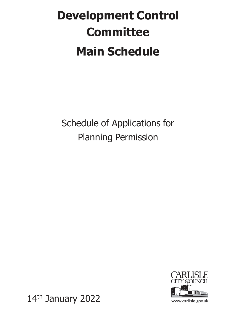## **Development Control Committee Main Schedule**

Schedule of Applications for Planning Permission



www.carlisle.gov.uk

14th January 2022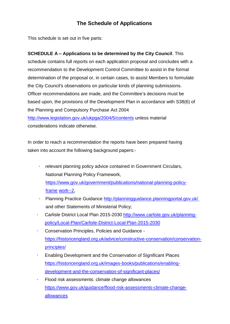#### **The Schedule of Applications**

This schedule is set out in five parts:

#### **SCHEDULE A – Applications to be determined by the City Council**. This

schedule contains full reports on each application proposal and concludes with a recommendation to the Development Control Committee to assist in the formal determination of the proposal or, in certain cases, to assist Members to formulate the City Council's observations on particular kinds of planning submissions. Officer recommendations are made, and the Committee's decisions must be based upon, the provisions of the Development Plan in accordance with S38(6) of the Planning and Compulsory Purchase Act 2004 <http://www.legislation.gov.uk/ukpga/2004/5/contents> unless material

considerations indicate otherwise.

In order to reach a recommendation the reports have been prepared having taken into account the following background papers:-

- relevant planning policy advice contained in Government Circulars, National Planning Policy Framework, https:/[/www.gov.uk/government/publications/national-planning-policy](http://www.gov.uk/government/publications/national-planning-policy-frame)[frame](http://www.gov.uk/government/publications/national-planning-policy-frame) work--2,
- · Planning Practice Guidance <http://planningguidance.planningportal.gov.uk/> and other Statements of Ministerial Policy;
- Carlisle District Local Plan 2015-2030 [http://www.carlisle.gov.uk/planning](http://www.carlisle.gov.uk/planning-policy/Local-Plan/Carlisle-District-Local-Plan-2015-2030)[policy/Local-Plan/Carlisle-District-Local-Plan-2015-2030](http://www.carlisle.gov.uk/planning-policy/Local-Plan/Carlisle-District-Local-Plan-2015-2030)
- · Conservation Principles, Policies and Guidance [https://historicengland.org.uk/advice/constructive-conservation/conservation](https://historicengland.org.uk/advice/constructive-conservation/conservation-principles/)[principles/](https://historicengland.org.uk/advice/constructive-conservation/conservation-principles/)
- · Enabling Development and the Conservation of Significant Places [https://historicengland.org.uk/images-books/publications/enabling](https://historicengland.org.uk/images-books/publications/enabling-development-and-the-conservation-of-significant-places/)[development-and-the-conservation-of-significant-places/](https://historicengland.org.uk/images-books/publications/enabling-development-and-the-conservation-of-significant-places/)
- Flood risk assessments: climate change allowances [https://www.gov.uk/guidance/flood-risk-assessments-climate-change](https://www.gov.uk/guidance/flood-risk-assessments-climate-change-allowances)[allowances](https://www.gov.uk/guidance/flood-risk-assessments-climate-change-allowances)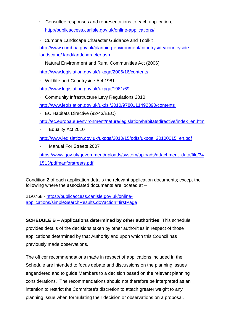- Consultee responses and representations to each application; <http://publicaccess.carlisle.gov.uk/online-applications/>
- · Cumbria Landscape Character Guidance and Toolkit

[http://www.cumbria.gov.uk/planning-environment/countryside/countryside](http://www.cumbria.gov.uk/planning-environment/countryside/countryside-landscape/)[landscape/](http://www.cumbria.gov.uk/planning-environment/countryside/countryside-landscape/) land/landcharacter.asp

Natural Environment and Rural Communities Act (2006)

<http://www.legislation.gov.uk/ukpga/2006/16/contents>

· Wildlife and Countryside Act 1981

<http://www.legislation.gov.uk/ukpga/1981/69>

- · Community Infrastructure Levy Regulations 2010 <http://www.legislation.gov.uk/ukdsi/2010/9780111492390/contents>
- · EC Habitats Directive (92/43/EEC)

[http://ec.europa.eu/environment/nature/legislation/habitatsdirective/index\\_en.htm](http://ec.europa.eu/environment/nature/legislation/habitatsdirective/index_en.htm)

· Equality Act 2010

[http://www.legislation.gov.uk/ukpga/2010/15/pdfs/ukpga\\_20100015\\_en.pdf](http://www.legislation.gov.uk/ukpga/2010/15/pdfs/ukpga_20100015_en.pdf)

· Manual For Streets 2007

[https://www.gov.uk/government/uploads/system/uploads/attachment\\_data/file/34](https://www.gov.uk/government/uploads/system/uploads/attachment_data/file/341513/pdfmanforstreets.pdf) [1513/pdfmanforstreets.pdf](https://www.gov.uk/government/uploads/system/uploads/attachment_data/file/341513/pdfmanforstreets.pdf)

Condition 2 of each application details the relevant application documents; except the following where the associated documents are located at –

21/0768 - [https://publicaccess.carlisle.gov.uk/online](https://publicaccess.carlisle.gov.uk/online-applications/simpleSearchResults.do?action=firstPage)[applications/simpleSearchResults.do?action=firstPage](https://publicaccess.carlisle.gov.uk/online-applications/simpleSearchResults.do?action=firstPage)

**SCHEDULE B – Applications determined by other authorities**. This schedule provides details of the decisions taken by other authorities in respect of those applications determined by that Authority and upon which this Council has previously made observations.

The officer recommendations made in respect of applications included in the Schedule are intended to focus debate and discussions on the planning issues engendered and to guide Members to a decision based on the relevant planning considerations. The recommendations should not therefore be interpreted as an intention to restrict the Committee's discretion to attach greater weight to any planning issue when formulating their decision or observations on a proposal.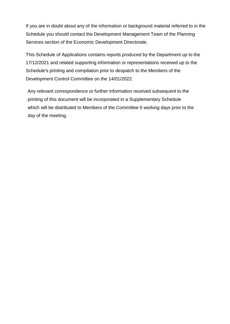If you are in doubt about any of the information or background material referred to in the Schedule you should contact the Development Management Team of the Planning Services section of the Economic Development Directorate.

This Schedule of Applications contains reports produced by the Department up to the 17/12/2021 and related supporting information or representations received up to the Schedule's printing and compilation prior to despatch to the Members of the Development Control Committee on the 14/01/2022.

Any relevant correspondence or further information received subsequent to the printing of this document will be incorporated in a Supplementary Schedule which will be distributed to Members of the Committee 5 working days prior to the day of the meeting.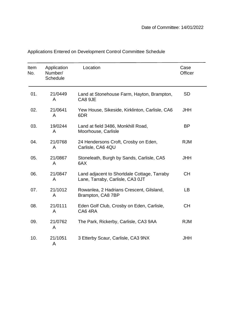| Item<br>No. | Application<br>Number/<br><b>Schedule</b> | Location                                                                        | Case<br>Officer |
|-------------|-------------------------------------------|---------------------------------------------------------------------------------|-----------------|
| 01.         | 21/0449<br>A                              | Land at Stonehouse Farm, Hayton, Brampton,<br>CA8 9JE                           | <b>SD</b>       |
| 02.         | 21/0641<br>A                              | Yew House, Sikeside, Kirklinton, Carlisle, CA6<br>6DR                           | <b>JHH</b>      |
| 03.         | 19/0244<br>A                              | Land at field 3486, Monkhill Road,<br>Moorhouse, Carlisle                       | <b>BP</b>       |
| 04.         | 21/0768<br>A                              | 24 Hendersons Croft, Crosby on Eden,<br>Carlisle, CA6 4QU                       | <b>RJM</b>      |
| 05.         | 21/0867<br>A                              | Stoneleath, Burgh by Sands, Carlisle, CA5<br>6AX                                | <b>JHH</b>      |
| 06.         | 21/0847<br>A                              | Land adjacent to Shortdale Cottage, Tarraby<br>Lane, Tarraby, Carlisle, CA3 0JT | СH              |
| 07.         | 21/1012<br>A                              | Rowanlea, 2 Hadrians Crescent, Gilsland,<br>Brampton, CA8 7BP                   | LB              |
| 08.         | 21/0111<br>A                              | Eden Golf Club, Crosby on Eden, Carlisle,<br>CA64RA                             | <b>CH</b>       |
| 09.         | 21/0762<br>A                              | The Park, Rickerby, Carlisle, CA3 9AA                                           | <b>RJM</b>      |
| 10.         | 21/1051<br>A                              | 3 Etterby Scaur, Carlisle, CA3 9NX                                              | <b>JHH</b>      |

### Applications Entered on Development Control Committee Schedule